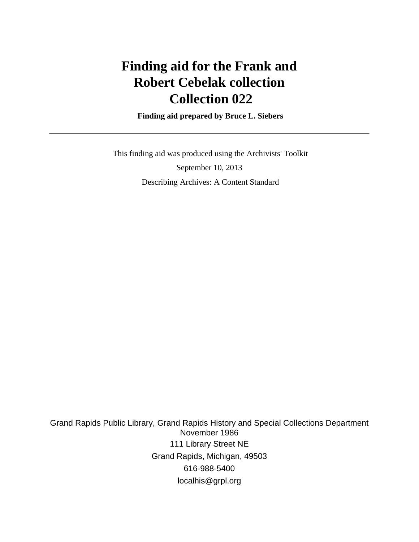# **Finding aid for the Frank and Robert Cebelak collection Collection 022**

 **Finding aid prepared by Bruce L. Siebers**

 This finding aid was produced using the Archivists' Toolkit September 10, 2013 Describing Archives: A Content Standard

Grand Rapids Public Library, Grand Rapids History and Special Collections Department November 1986 111 Library Street NE Grand Rapids, Michigan, 49503 616-988-5400 localhis@grpl.org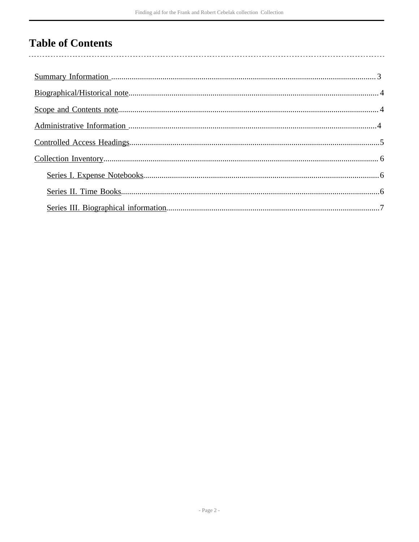# **Table of Contents**

 $\overline{\phantom{a}}$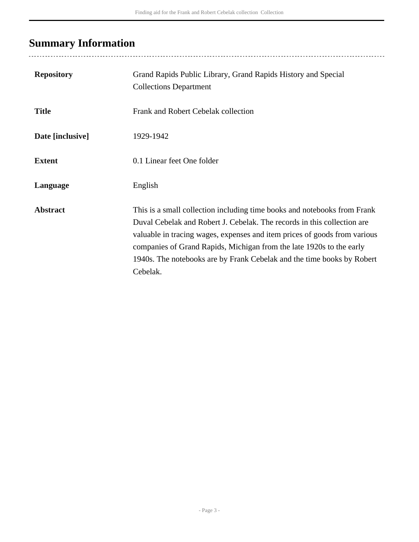# <span id="page-2-0"></span>**Summary Information**

| <b>Repository</b> | Grand Rapids Public Library, Grand Rapids History and Special<br><b>Collections Department</b>                                                                                                                                                                                                                                                                                                 |
|-------------------|------------------------------------------------------------------------------------------------------------------------------------------------------------------------------------------------------------------------------------------------------------------------------------------------------------------------------------------------------------------------------------------------|
| <b>Title</b>      | Frank and Robert Cebelak collection                                                                                                                                                                                                                                                                                                                                                            |
| Date [inclusive]  | 1929-1942                                                                                                                                                                                                                                                                                                                                                                                      |
| <b>Extent</b>     | 0.1 Linear feet One folder                                                                                                                                                                                                                                                                                                                                                                     |
| Language          | English                                                                                                                                                                                                                                                                                                                                                                                        |
| <b>Abstract</b>   | This is a small collection including time books and notebooks from Frank<br>Duval Cebelak and Robert J. Cebelak. The records in this collection are<br>valuable in tracing wages, expenses and item prices of goods from various<br>companies of Grand Rapids, Michigan from the late 1920s to the early<br>1940s. The notebooks are by Frank Cebelak and the time books by Robert<br>Cebelak. |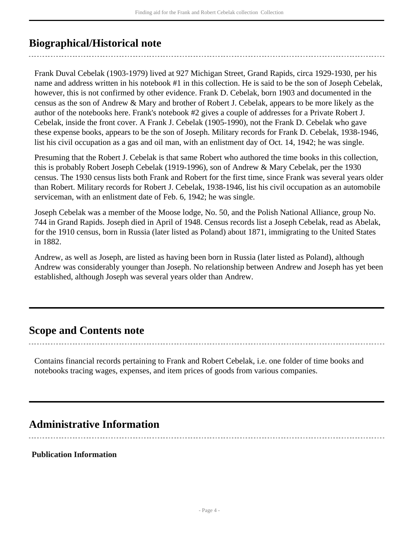# <span id="page-3-0"></span>**Biographical/Historical note**

Frank Duval Cebelak (1903-1979) lived at 927 Michigan Street, Grand Rapids, circa 1929-1930, per his name and address written in his notebook #1 in this collection. He is said to be the son of Joseph Cebelak, however, this is not confirmed by other evidence. Frank D. Cebelak, born 1903 and documented in the census as the son of Andrew & Mary and brother of Robert J. Cebelak, appears to be more likely as the author of the notebooks here. Frank's notebook #2 gives a couple of addresses for a Private Robert J. Cebelak, inside the front cover. A Frank J. Cebelak (1905-1990), not the Frank D. Cebelak who gave these expense books, appears to be the son of Joseph. Military records for Frank D. Cebelak, 1938-1946, list his civil occupation as a gas and oil man, with an enlistment day of Oct. 14, 1942; he was single.

Presuming that the Robert J. Cebelak is that same Robert who authored the time books in this collection, this is probably Robert Joseph Cebelak (1919-1996), son of Andrew & Mary Cebelak, per the 1930 census. The 1930 census lists both Frank and Robert for the first time, since Frank was several years older than Robert. Military records for Robert J. Cebelak, 1938-1946, list his civil occupation as an automobile serviceman, with an enlistment date of Feb. 6, 1942; he was single.

Joseph Cebelak was a member of the Moose lodge, No. 50, and the Polish National Alliance, group No. 744 in Grand Rapids. Joseph died in April of 1948. Census records list a Joseph Cebelak, read as Abelak, for the 1910 census, born in Russia (later listed as Poland) about 1871, immigrating to the United States in 1882.

Andrew, as well as Joseph, are listed as having been born in Russia (later listed as Poland), although Andrew was considerably younger than Joseph. No relationship between Andrew and Joseph has yet been established, although Joseph was several years older than Andrew.

## <span id="page-3-1"></span>**Scope and Contents note**

Contains financial records pertaining to Frank and Robert Cebelak, i.e. one folder of time books and notebooks tracing wages, expenses, and item prices of goods from various companies.

# <span id="page-3-2"></span>**Administrative Information**

### **Publication Information**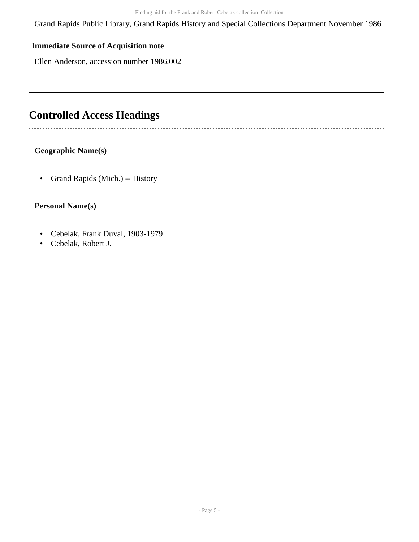Grand Rapids Public Library, Grand Rapids History and Special Collections Department November 1986

## **Immediate Source of Acquisition note**

Ellen Anderson, accession number 1986.002

# <span id="page-4-0"></span>**Controlled Access Headings**

### **Geographic Name(s)**

• Grand Rapids (Mich.) -- History

### **Personal Name(s)**

- Cebelak, Frank Duval, 1903-1979
- Cebelak, Robert J.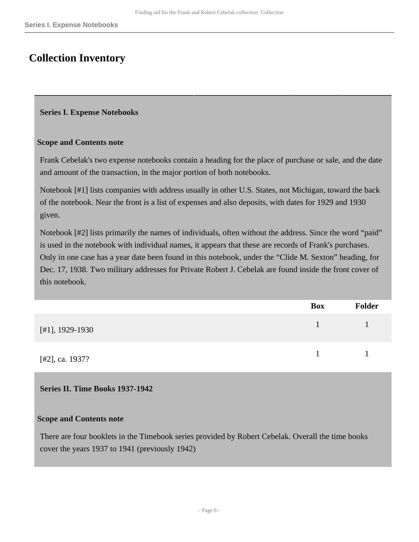# <span id="page-5-0"></span>**Collection Inventory**

#### <span id="page-5-1"></span>**Series I. Expense Notebooks**

#### **Scope and Contents note**

Frank Cebelak's two expense notebooks contain a heading for the place of purchase or sale, and the date and amount of the transaction, in the major portion of both notebooks.

Notebook [#1] lists companies with address usually in other U.S. States, not Michigan, toward the back of the notebook. Near the front is a list of expenses and also deposits, with dates for 1929 and 1930 given.

Notebook [#2] lists primarily the names of individuals, often without the address. Since the word "paid" is used in the notebook with individual names, it appears that these are records of Frank's purchases. Only in one case has a year date been found in this notebook, under the "Clide M. Sexton" heading, for Dec. 17, 1938. Two military addresses for Private Robert J. Cebelak are found inside the front cover of this notebook.

|                   | <b>Box</b> | <b>Folder</b> |
|-------------------|------------|---------------|
| [#1], $1929-1930$ |            |               |
| [#2], ca. 1937?   |            |               |

### <span id="page-5-2"></span>**Series II. Time Books 1937-1942**

#### **Scope and Contents note**

There are four booklets in the Timebook series provided by Robert Cebelak. Overall the time books cover the years 1937 to 1941 (previously 1942)